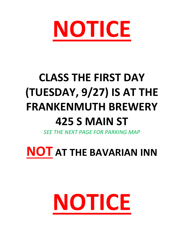

# **CLASS THE FIRST DAY (TUESDAY, 9/27) IS AT THE FRANKENMUTH BREWERY 425 S MAIN ST**

*SEE THE NEXT PAGE FOR PARKING MAP*

**NOT AT THE BAVARIAN INN**

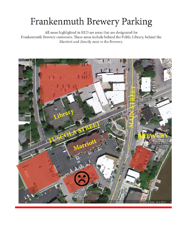# Frankenmuth Brewery Parking

All areas highlighted in RED are areas that are designated for Frankenmuth Brewery customers. These areas include behind the Public Library, behind the Marriott and directly next to the Brewery.

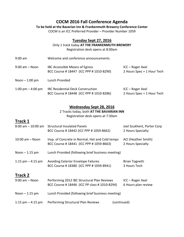### **COCM 2016 Fall Conference Agenda**

#### **To be held at the Bavarian Inn & Frankenmuth Brewery Conference Center**

COCM is an ICC Preferred Provider – Provider Number 1059

#### **Tuesday Sept 27, 2016**

Only 1 track today **AT THE FRANKENMUTH BREWERY**

Registration desk opens at 8:00am

| $9:00$ am           | Welcome and conference announcements                                               |                                                |
|---------------------|------------------------------------------------------------------------------------|------------------------------------------------|
| $9:00$ am $-$ Noon  | IBC Accessible Means of Egress<br>BCC Course #18447 (ICC PPP #1010-8290)           | ICC - Roger Axel<br>2 Hours Spec + 1 Hour Tech |
| Noon $-1:00$ pm     | Lunch Provided                                                                     |                                                |
| 1:00 pm $-$ 4:00 pm | <b>IRC Residential Deck Construction</b><br>BCC Course #18448 (ICC PPP #1010-8286) | ICC - Roger Axel<br>2 Hours Spec + 1 Hour Tech |

#### **Wednesday Sept 28, 2016**

#### 2 Tracks today, both **AT THE BAVARIAN INN**

Registration desk opens at 7:30am

# **Track 1**

|                                      | 8:00 am - 10:00 am Structural Insulated Panels<br>BCC Course #18442 (ICC PPP #1059-8662)   | Joel Szukhent, Porter Corp<br>2 Hours Specialty |
|--------------------------------------|--------------------------------------------------------------------------------------------|-------------------------------------------------|
| $10:00$ am $-$ Noon                  | Insp. of Concrete in Normal, Hot and Cold temps<br>BCC Course #18441 (ICC PPP #1059-8663)  | ACI (Heather Smith)<br>2 Hours Specialty        |
| Noon $-1:15$ pm                      | Lunch Provided (following brief business meeting)                                          |                                                 |
| 1:15 pm $-$ 4:15 pm                  | Avoiding Exterior Envelope Failures<br>BCC Course #18380 (ICC PPP #1059-8941)              | <b>Brian Tognetti</b><br>3 Hours Tech           |
| <b>Track 2</b><br>$9:00$ am $-$ Noon | Performing 2012 IBC Structural Plan Reviews<br>BCC Course #18446 (ICC PP class #1010-8294) | ICC - Roger Axel<br>6 Hours plan review         |
| Noon $-1:15$ pm                      | Lunch Provided (following brief business meeting)                                          |                                                 |
| 1:15 pm $-$ 4:15 pm                  | Performing Structural Plan Reviews<br>(continued)                                          |                                                 |